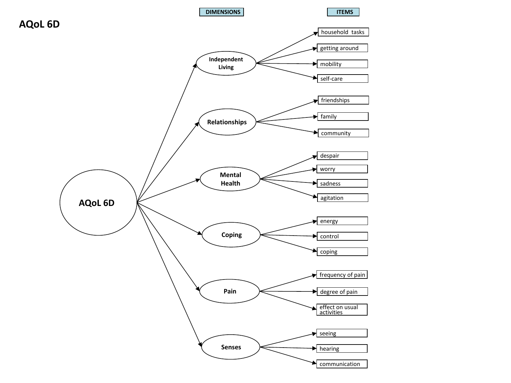